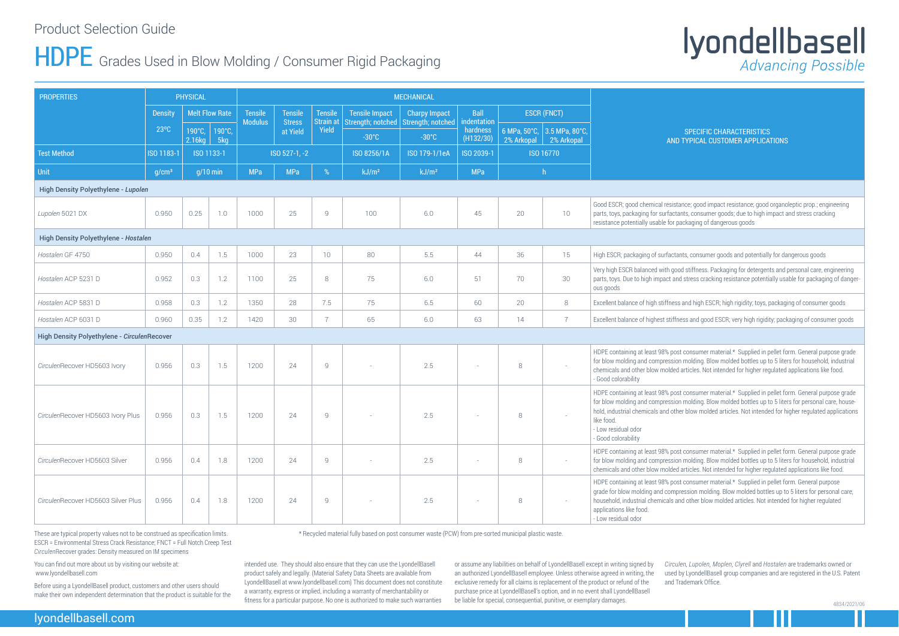### Product Selection Guide

## HDPE Grades Used in Blow Molding / Consumer Rigid Packaging

#### SPECIFIC CHARACTERISTICS **TYPICAL CUSTOMER APPLICATIONS**

ance; good impact resistance; good organoleptic prop.; engineering ants, consumer goods; due to high impact and stress cracking ackaging of dangerous goods

ants, consumer goods and potentially for dangerous goods

od stiffness. Packaging for detergents and personal care, engineering nd stress cracking resistance potentially usable for packaging of danger-

and high ESCR; high rigidity; toys, packaging of consumer goods

hess and good ESCR; very high rigidity; packaging of consumer goods

st consumer material.\* Supplied in pellet form. General purpose grade on molding. Blow molded bottles up to 5 liters for household, industrial articles. Not intended for higher regulated applications like food.

st consumer material.\* Supplied in pellet form. General purpose grade on molding. Blow molded bottles up to 5 liters for personal care, househer blow molded articles. Not intended for higher regulated applications

st consumer material.\* Supplied in pellet form. General purpose grade on molding. Blow molded bottles up to 5 liters for household, industrial l articles. Not intended for higher regulated applications like food.

het consumer material.\* Supplied in pellet form. General purpose ression molding. Blow molded bottles up to 5 liters for personal care, nd other blow molded articles. Not intended for higher regulated

| <b>PROPERTIES</b>                           |                   | <b>PHYSICAL</b>       |               |                                  |                           |                                    |                                      |                                             |                                      |                    |                                           |                                                                                                                                                                       |
|---------------------------------------------|-------------------|-----------------------|---------------|----------------------------------|---------------------------|------------------------------------|--------------------------------------|---------------------------------------------|--------------------------------------|--------------------|-------------------------------------------|-----------------------------------------------------------------------------------------------------------------------------------------------------------------------|
|                                             | <b>Density</b>    | <b>Melt Flow Rate</b> |               | <b>Tensile</b><br><b>Modulus</b> | <b>Tensile</b>            | <b>Tensile</b><br><b>Strain at</b> | <b>Tensile Impact</b>                | <b>Charpy Impact</b>                        | <b>Ball</b>                          | <b>ESCR (FNCT)</b> |                                           |                                                                                                                                                                       |
|                                             | $23^{\circ}$ C    | 190°C,<br>2.16kg      | 190°C,<br>5kg |                                  | <b>Stress</b><br>at Yield | Yield                              | Strength; notched<br>$-30^{\circ}$ C | <b>Strength; notched</b><br>$-30^{\circ}$ C | indentation<br>hardness<br>(H132/30) |                    | 6 MPa, 50°C, 3.5 MPa, 80°C,<br>2% Arkopal | <b>AND</b>                                                                                                                                                            |
| <b>Test Method</b>                          | ISO 1183-1        |                       | ISO 1133-1    |                                  | ISO 527-1, -2             |                                    | ISO 8256/1A                          | ISO 179-1/1eA                               | ISO 2039-1                           | 2% Arkopal         | ISO 16770                                 |                                                                                                                                                                       |
| Unit                                        | g/cm <sup>3</sup> |                       | $q/10$ min    | <b>MPa</b>                       | <b>MPa</b>                | %                                  | kJ/m <sup>2</sup>                    | kJ/m <sup>2</sup>                           | <b>MPa</b>                           |                    | $\mathsf{h}$                              |                                                                                                                                                                       |
| High Density Polyethylene - Lupolen         |                   |                       |               |                                  |                           |                                    |                                      |                                             |                                      |                    |                                           |                                                                                                                                                                       |
| Lupolen 5021 DX                             | 0.950             | 0.25                  | 1.0           | 1000                             | 25                        | 9                                  | 100                                  | 6.0                                         | 45                                   | 20                 | 10                                        | Good ESCR; good chemical resist<br>parts, toys, packaging for surfacta<br>resistance potentially usable for p                                                         |
| High Density Polyethylene - Hostalen        |                   |                       |               |                                  |                           |                                    |                                      |                                             |                                      |                    |                                           |                                                                                                                                                                       |
| Hostalen GF 4750                            | 0.950             | 0.4                   | 1.5           | 1000                             | 23                        | 10                                 | 80                                   | 5.5                                         | 44                                   | 36                 | 15                                        | High ESCR; packaging of surfacta                                                                                                                                      |
| Hostalen ACP 5231 D                         | 0.952             | 0.3                   | 1.2           | 1100                             | 25                        | 8                                  | 75                                   | 6.0                                         | 51                                   | 70                 | 30                                        | Very high ESCR balanced with good<br>parts, toys. Due to high impact an<br>ous goods                                                                                  |
| Hostalen ACP 5831 D                         | 0.958             | 0.3                   | 1.2           | 1350                             | 28                        | 7.5                                | 75                                   | 6.5                                         | 60                                   | 20                 | 8                                         | Excellent balance of high stiffness                                                                                                                                   |
| Hostalen ACP 6031 D                         | 0.960             | 0.35                  | 1.2           | 1420                             | 30                        | $\overline{7}$                     | 65                                   | $6.0\,$                                     | 63                                   | 14                 | $\overline{7}$                            | Excellent balance of highest stiffn                                                                                                                                   |
| High Density Polyethylene - CirculenRecover |                   |                       |               |                                  |                           |                                    |                                      |                                             |                                      |                    |                                           |                                                                                                                                                                       |
| CirculenRecover HD5603 Ivory                | 0.956             | 0.3                   | 1.5           | 1200                             | 24                        | 9                                  |                                      | 2.5                                         | $\sim$                               | $8\,$              |                                           | HDPE containing at least 98% pos<br>for blow molding and compressio<br>chemicals and other blow molded<br>- Good colorability                                         |
| CirculenRecover HD5603 Ivory Plus           | 0.956             | 0.3                   | 1.5           | 1200                             | 24                        | 9                                  |                                      | 2.5                                         | $\sim$                               | 8                  |                                           | HDPE containing at least 98% pos<br>for blow molding and compressio<br>hold, industrial chemicals and oth<br>like food.<br>- Low residual odor<br>- Good colorability |
| CirculenRecover HD5603 Silver               | 0.956             | 0.4                   | 1.8           | 1200                             | 24                        | 9                                  |                                      | 2.5                                         | $\sim$                               | 8                  | $\sim$                                    | HDPE containing at least 98% pos<br>for blow molding and compressio<br>chemicals and other blow molded                                                                |
| CirculenRecover HD5603 Silver Plus          | 0.956             | 0.4                   | 1.8           | 1200                             | 24                        | 9                                  |                                      | 2.5                                         |                                      | 8                  |                                           | HDPE containing at least 98% pos<br>grade for blow molding and comp<br>household, industrial chemicals a<br>applications like food.<br>- Low residual odor            |

These are typical property values not to be construed as specification limits. ESCR = Environmental Stress Crack Resistance; FNCT = Full Notch Creep Test *Circulen*Recover grades: Density measured on IM specimens

\* Recycled material fully based on post consumer waste (PCW) from pre-sorted municipal plastic waste.

# Iyondellbasell

You can find out more about us by visiting our website at: www.lyondellbasell.com

Before using a LyondellBasell product, customers and other users should make their own independent determination that the product is suitable for the intended use. They should also ensure that they can use the LyondellBasell product safely and legally. (Material Safety Data Sheets are available from LyondellBasell at www.lyondellbasell.com) This document does not constitute a warranty, express or implied, including a warranty of merchantability or fitness for a particular purpose. No one is authorized to make such warranties

or assume any liabilities on behalf of LyondellBasell except in writing signed by an authorized LyondellBasell employee. Unless otherwise agreed in writing, the exclusive remedy for all claims is replacement of the product or refund of the purchase price at LyondellBasell's option, and in no event shall LyondellBasell be liable for special, consequential, punitive, or exemplary damages.

*Circulen, Lupolen, Moplen, Clyrell* and *Hostalen* are trademarks owned or used by LyondellBasell group companies and are registered in the U.S. Patent and Trademark Office.